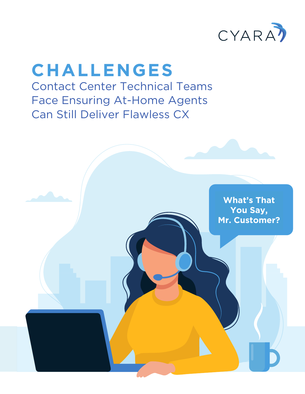

## **CHALLENGES** Contact Center Technical Teams Face Ensuring At-Home Agents Can Still Deliver Flawless CX

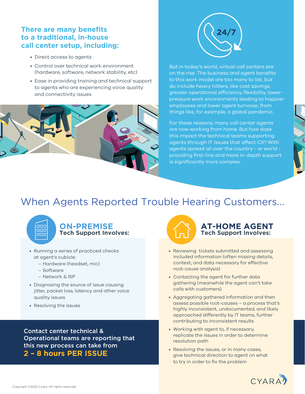#### **There are many benefits to a traditional, in-house call center setup, including:**

- Direct access to agents
- Control over technical work environment (hardware, software, network stability, etc)
- Ease in providing training and technical support to agents who are experiencing voice quality and connectivity issues





But in today's world, virtual call centers are on the rise. The business and agent benefits to this work model are too many to list, but do include heavy hitters, like cost savings, greater operational efficiency, flexibility, lowerpressure work environments leading to happier employees and lower agent turnover, from things like, for example, a global pandemic.

For these reasons, many call center agents are now working from home. But how does this impact the technical teams supporting agents through IT issues that affect CX? With agents spread all over the country - or world providing first-line and more in-depth support is significantly more complex.

### When Agents Reported Trouble Hearing Customers...



#### **ON-PREMISE Tech Support Involves:**

- Running a series of practiced checks at agent's cubicle:
	- Hardware (headset, mic)
	- Software
	- Network & ISP
- Diagnosing the source of issue causing jitter, packet loss, latency and other voice quality issues
- Resolving the issues

Contact center technical & Operational teams are reporting that this new process can take from **2 – 8 hours PER ISSUE**



#### **AT-HOME AGENT Tech Support Involves:**

- Reviewing tickets submitted and assessing included information (often missing details, context, and data necessary for effective root-cause analysis)
- Contacting the agent for further data gathering (meanwhile the agent can't take calls with customers)
- Aggregating gathered information and then assess possible root-causes – a process that's highly inconsistent, undocumented, and likely approached differently by IT teams, further contributing to inconsistent results
- Working with agent to, if necessary, replicate the issues in order to determine resolution path
- Resolving the issues, or in many cases, give technical direction to agent on what to try in order to fix the problem

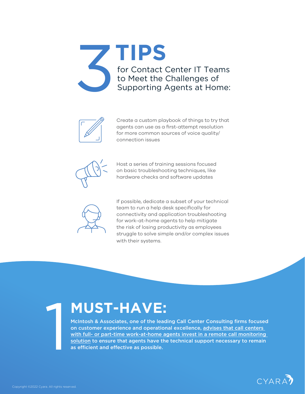



Create a custom playbook of things to try that agents can use as a first-attempt resolution for more common sources of voice quality/ connection issues



Host a series of training sessions focused on basic troubleshooting techniques, like hardware checks and software updates



If possible, dedicate a subset of your technical team to run a help desk specifically for connectivity and application troubleshooting for work-at-home agents to help mitigate the risk of losing productivity as employees struggle to solve simple and/or complex issues with their systems.

## **MUST-HAVE:**

McIntosh & Associates, one of the leading Call Center Consulting firms focused on customer experience and operational excellence, [advises that call centers](https://www.mcintoshassociates.com/covid-guidance-for-contact-centers/)  [with full- or part-time work-at-home agents invest in a remote call monitoring](https://www.mcintoshassociates.com/covid-guidance-for-contact-centers/)  [solution](https://www.mcintoshassociates.com/covid-guidance-for-contact-centers/) to ensure that agents have the technical support necessary to remain as efficient and effective as possible.